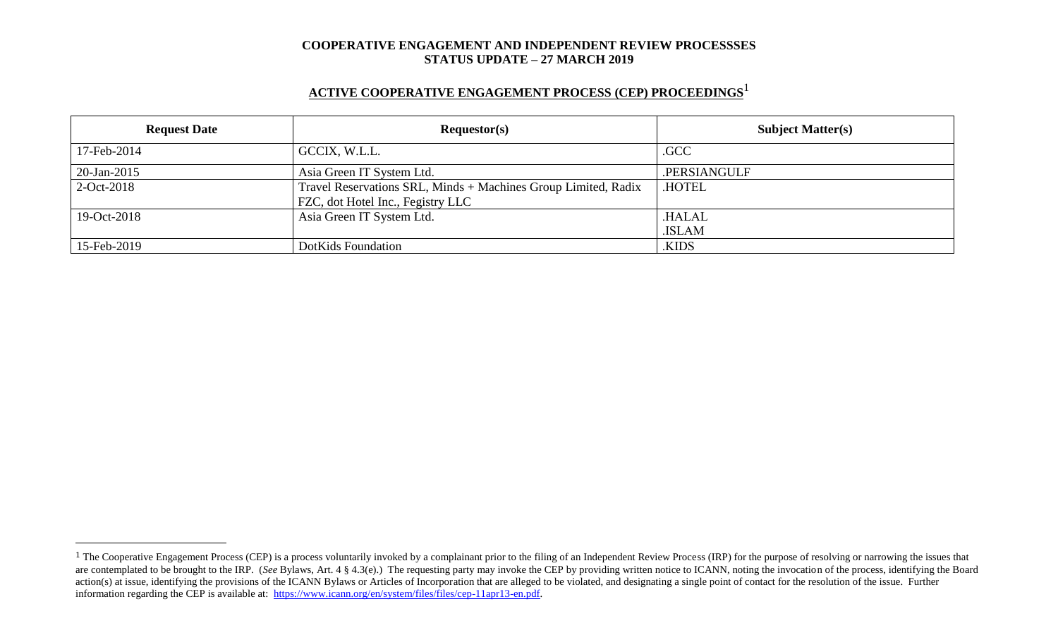## **ACTIVE COOPERATIVE ENGAGEMENT PROCESS (CEP) PROCEEDINGS** 1

| <b>Request Date</b> | Requestor(s)                                                                                        | <b>Subject Matter(s)</b> |  |
|---------------------|-----------------------------------------------------------------------------------------------------|--------------------------|--|
| 17-Feb-2014         | GCCIX, W.L.L.                                                                                       | .GCC                     |  |
| 20-Jan-2015         | Asia Green IT System Ltd.                                                                           | .PERSIANGULF             |  |
| $2-Oct-2018$        | Travel Reservations SRL, Minds + Machines Group Limited, Radix<br>FZC, dot Hotel Inc., Fegistry LLC | <b>HOTEL</b>             |  |
| 19-Oct-2018         | Asia Green IT System Ltd.                                                                           | .HALAL<br>.ISLAM         |  |
| 15-Feb-2019         | DotKids Foundation                                                                                  | .KIDS                    |  |

 $\overline{a}$ 

<sup>&</sup>lt;sup>1</sup> The Cooperative Engagement Process (CEP) is a process voluntarily invoked by a complainant prior to the filing of an Independent Review Process (IRP) for the purpose of resolving or narrowing the issues that are contemplated to be brought to the IRP. (*See* Bylaws, Art. 4 § 4.3(e).) The requesting party may invoke the CEP by providing written notice to ICANN, noting the invocation of the process, identifying the Board action(s) at issue, identifying the provisions of the ICANN Bylaws or Articles of Incorporation that are alleged to be violated, and designating a single point of contact for the resolution of the issue. Further information regarding the CEP is available at: [https://www.icann.org/en/system/files/files/cep-11apr13-en.pdf.](https://www.icann.org/en/system/files/files/cep-11apr13-en.pdf)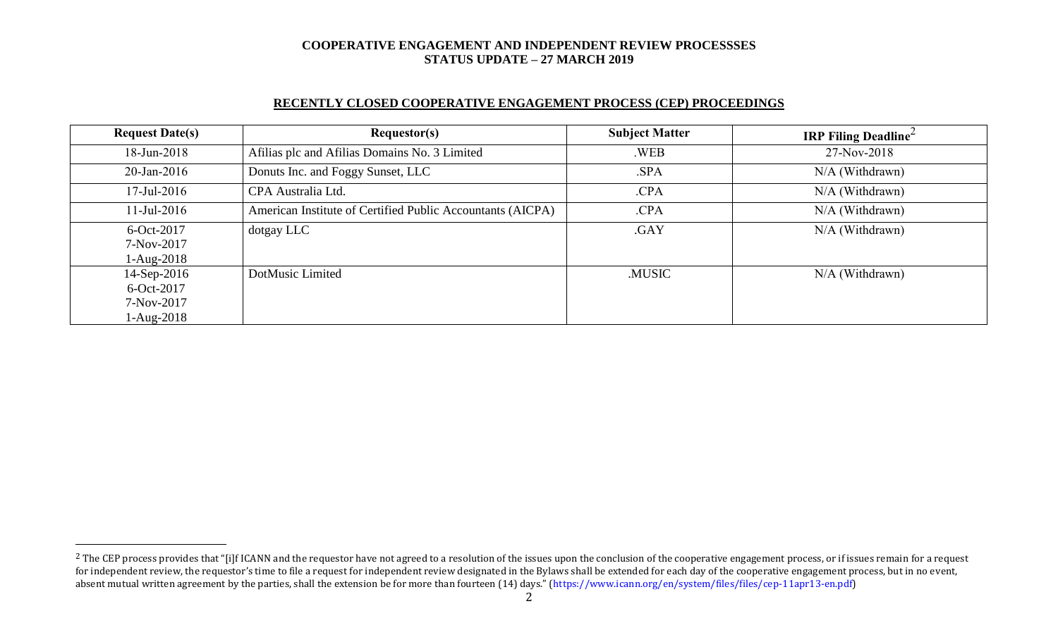### **RECENTLY CLOSED COOPERATIVE ENGAGEMENT PROCESS (CEP) PROCEEDINGS**

| <b>Request Date(s)</b> | <b>Requestor(s)</b>                                        | <b>Subject Matter</b> | <b>IRP Filing Deadline</b> |
|------------------------|------------------------------------------------------------|-----------------------|----------------------------|
| 18-Jun-2018            | Afilias plc and Afilias Domains No. 3 Limited              | .WEB                  | 27-Nov-2018                |
| 20-Jan-2016            | Donuts Inc. and Foggy Sunset, LLC                          | .SPA                  | N/A (Withdrawn)            |
| $17$ -Jul-2016         | CPA Australia Ltd.                                         | .CPA                  | $N/A$ (Withdrawn)          |
| $11$ -Jul-2016         | American Institute of Certified Public Accountants (AICPA) | .CPA                  | N/A (Withdrawn)            |
| 6-Oct-2017             | dotgay LLC                                                 | .GAY                  | $N/A$ (Withdrawn)          |
| 7-Nov-2017             |                                                            |                       |                            |
| $1-Aug-2018$           |                                                            |                       |                            |
| 14-Sep-2016            | DotMusic Limited                                           | .MUSIC                | N/A (Withdrawn)            |
| $6$ -Oct-2017          |                                                            |                       |                            |
| 7-Nov-2017             |                                                            |                       |                            |
| $1-Aug-2018$           |                                                            |                       |                            |

 $\overline{a}$ 

<sup>&</sup>lt;sup>2</sup> The CEP process provides that "[i]f ICANN and the requestor have not agreed to a resolution of the issues upon the conclusion of the cooperative engagement process, or if issues remain for a request for independent review, the requestor's time to file a request for independent review designated in the Bylaws shall be extended for each day of the cooperative engagement process, but in no event, absent mutual written agreement by the parties, shall the extension be for more than fourteen (14) days." (https://www.icann.org/en/system/files/files/cep-11apr13-en.pdf)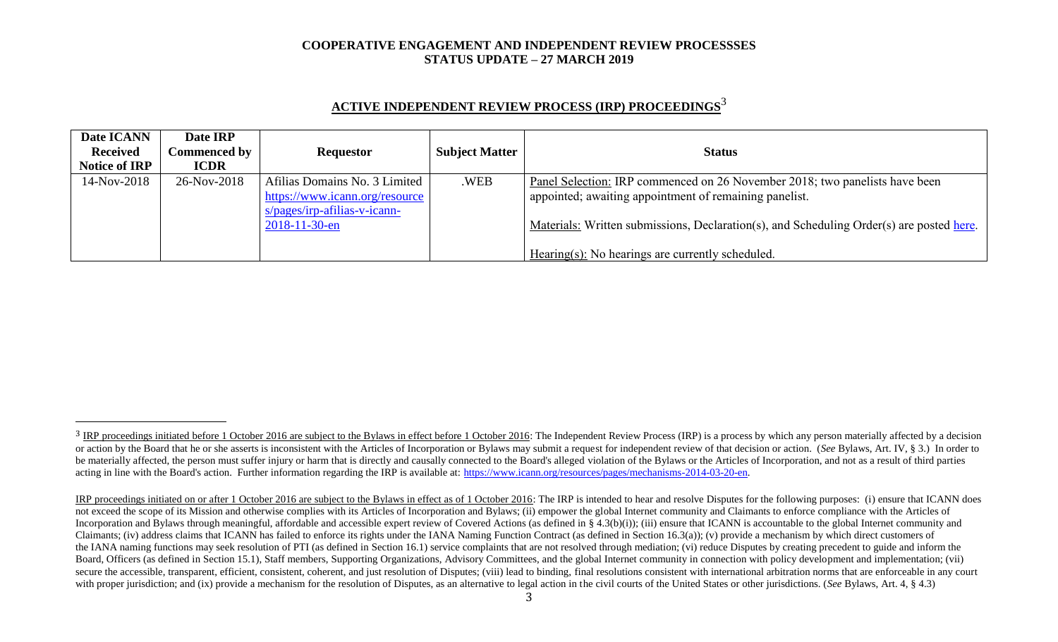| Date ICANN           | Date IRP            |                                |                       |                                                                                          |
|----------------------|---------------------|--------------------------------|-----------------------|------------------------------------------------------------------------------------------|
| <b>Received</b>      | <b>Commenced by</b> | <b>Requestor</b>               | <b>Subject Matter</b> | <b>Status</b>                                                                            |
| <b>Notice of IRP</b> | <b>ICDR</b>         |                                |                       |                                                                                          |
| 14-Nov-2018          | 26-Nov-2018         | Afilias Domains No. 3 Limited  | .WEB                  | Panel Selection: IRP commenced on 26 November 2018; two panelists have been              |
|                      |                     | https://www.icann.org/resource |                       | appointed; awaiting appointment of remaining panelist.                                   |
|                      |                     | $s/pages/irp-afilias-v-icann-$ |                       |                                                                                          |
|                      |                     | $2018 - 11 - 30 - en$          |                       | Materials: Written submissions, Declaration(s), and Scheduling Order(s) are posted here. |
|                      |                     |                                |                       |                                                                                          |
|                      |                     |                                |                       | Hearing(s): No hearings are currently scheduled.                                         |

# **ACTIVE INDEPENDENT REVIEW PROCESS (IRP) PROCEEDINGS** 3

l

<sup>&</sup>lt;sup>3</sup> IRP proceedings initiated before 1 October 2016 are subject to the Bylaws in effect before 1 October 2016: The Independent Review Process (IRP) is a process by which any person materially affected by a decision or action by the Board that he or she asserts is inconsistent with the Articles of Incorporation or Bylaws may submit a request for independent review of that decision or action. (See Bylaws, Art. IV, § 3.) In order to be materially affected, the person must suffer injury or harm that is directly and causally connected to the Board's alleged violation of the Bylaws or the Articles of Incorporation, and not as a result of third parties acting in line with the Board's action. Further information regarding the IRP is available at: [https://www.icann.org/resources/pages/mechanisms-2014-03-20-en.](https://www.icann.org/resources/pages/mechanisms-2014-03-20-en)

IRP proceedings initiated on or after 1 October 2016 are subject to the Bylaws in effect as of 1 October 2016: The IRP is intended to hear and resolve Disputes for the following purposes: (i) ensure that ICANN does not exceed the scope of its Mission and otherwise complies with its Articles of Incorporation and Bylaws; (ii) empower the global Internet community and Claimants to enforce compliance with the Articles of Incorporation and Bylaws through meaningful, affordable and accessible expert review of Covered Actions (as defined in § 4.3(b)(i)); (iii) ensure that ICANN is accountable to the global Internet community and Claimants; (iv) address claims that ICANN has failed to enforce its rights under the IANA Naming Function Contract (as defined in Section 16.3(a)); (v) provide a mechanism by which direct customers of the IANA naming functions may seek resolution of PTI (as defined in Section 16.1) service complaints that are not resolved through mediation; (vi) reduce Disputes by creating precedent to guide and inform the Board, Officers (as defined in Section 15.1), Staff members, Supporting Organizations, Advisory Committees, and the global Internet community in connection with policy development and implementation; (vii) secure the accessible, transparent, efficient, consistent, coherent, and just resolution of Disputes; (viii) lead to binding, final resolutions consistent with international arbitration norms that are enforceable in any co with proper jurisdiction; and (ix) provide a mechanism for the resolution of Disputes, as an alternative to legal action in the civil courts of the United States or other jurisdictions. (*See* Bylaws, Art. 4, § 4.3)